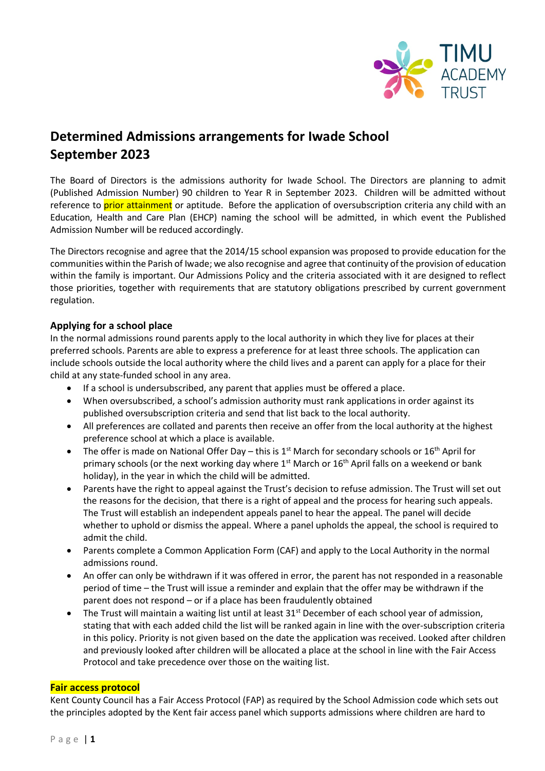

# **Determined Admissions arrangements for Iwade School September 2023**

The Board of Directors is the admissions authority for Iwade School. The Directors are planning to admit (Published Admission Number) 90 children to Year R in September 2023. Children will be admitted without reference to prior attainment or aptitude. Before the application of oversubscription criteria any child with an Education, Health and Care Plan (EHCP) naming the school will be admitted, in which event the Published Admission Number will be reduced accordingly.

The Directors recognise and agree that the 2014/15 school expansion was proposed to provide education for the communities within the Parish of Iwade; we also recognise and agree that continuity of the provision of education within the family is important. Our Admissions Policy and the criteria associated with it are designed to reflect those priorities, together with requirements that are statutory obligations prescribed by current government regulation.

### **Applying for a school place**

In the normal admissions round parents apply to the local authority in which they live for places at their preferred schools. Parents are able to express a preference for at least three schools. The application can include schools outside the local authority where the child lives and a parent can apply for a place for their child at any state-funded school in any area.

- If a school is undersubscribed, any parent that applies must be offered a place.
- When oversubscribed, a school's admission authority must rank applications in order against its published oversubscription criteria and send that list back to the local authority.
- All preferences are collated and parents then receive an offer from the local authority at the highest preference school at which a place is available.
- The offer is made on National Offer Day this is  $1<sup>st</sup>$  March for secondary schools or  $16<sup>th</sup>$  April for primary schools (or the next working day where  $1<sup>st</sup>$  March or  $16<sup>th</sup>$  April falls on a weekend or bank holiday), in the year in which the child will be admitted.
- Parents have the right to appeal against the Trust's decision to refuse admission. The Trust will set out the reasons for the decision, that there is a right of appeal and the process for hearing such appeals. The Trust will establish an independent appeals panel to hear the appeal. The panel will decide whether to uphold or dismiss the appeal. Where a panel upholds the appeal, the school is required to admit the child.
- Parents complete a Common Application Form (CAF) and apply to the Local Authority in the normal admissions round.
- An offer can only be withdrawn if it was offered in error, the parent has not responded in a reasonable period of time – the Trust will issue a reminder and explain that the offer may be withdrawn if the parent does not respond – or if a place has been fraudulently obtained
- The Trust will maintain a waiting list until at least 31<sup>st</sup> December of each school year of admission, stating that with each added child the list will be ranked again in line with the over-subscription criteria in this policy. Priority is not given based on the date the application was received. Looked after children and previously looked after children will be allocated a place at the school in line with the Fair Access Protocol and take precedence over those on the waiting list.

#### **Fair access protocol**

Kent County Council has a Fair Access Protocol (FAP) as required by the School Admission code which sets out the principles adopted by the Kent fair access panel which supports admissions where children are hard to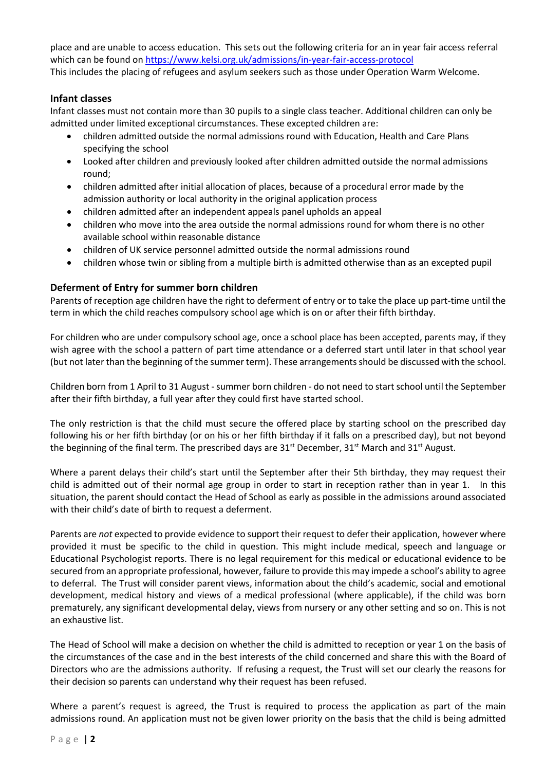place and are unable to access education. This sets out the following criteria for an in year fair access referral which can be found on<https://www.kelsi.org.uk/admissions/in-year-fair-access-protocol> This includes the placing of refugees and asylum seekers such as those under Operation Warm Welcome.

#### **Infant classes**

Infant classes must not contain more than 30 pupils to a single class teacher. Additional children can only be admitted under limited exceptional circumstances. These excepted children are:

- children admitted outside the normal admissions round with Education, Health and Care Plans specifying the school
- Looked after children and previously looked after children admitted outside the normal admissions round;
- children admitted after initial allocation of places, because of a procedural error made by the admission authority or local authority in the original application process
- children admitted after an independent appeals panel upholds an appeal
- children who move into the area outside the normal admissions round for whom there is no other available school within reasonable distance
- children of UK service personnel admitted outside the normal admissions round
- children whose twin or sibling from a multiple birth is admitted otherwise than as an excepted pupil

### **Deferment of Entry for summer born children**

Parents of reception age children have the right to deferment of entry or to take the place up part-time until the term in which the child reaches compulsory school age which is on or after their fifth birthday.

For children who are under compulsory school age, once a school place has been accepted, parents may, if they wish agree with the school a pattern of part time attendance or a deferred start until later in that school year (but not later than the beginning of the summer term). These arrangements should be discussed with the school.

Children born from 1 April to 31 August - summer born children - do not need to start school until the September after their fifth birthday, a full year after they could first have started school.

The only restriction is that the child must secure the offered place by starting school on the prescribed day following his or her fifth birthday (or on his or her fifth birthday if it falls on a prescribed day), but not beyond the beginning of the final term. The prescribed days are  $31<sup>st</sup>$  December,  $31<sup>st</sup>$  March and  $31<sup>st</sup>$  August.

Where a parent delays their child's start until the September after their 5th birthday, they may request their child is admitted out of their normal age group in order to start in reception rather than in year 1. In this situation, the parent should contact the Head of School as early as possible in the admissions around associated with their child's date of birth to request a deferment.

Parents are *not* expected to provide evidence to support their request to defer their application, however where provided it must be specific to the child in question. This might include medical, speech and language or Educational Psychologist reports. There is no legal requirement for this medical or educational evidence to be secured from an appropriate professional, however, failure to provide this may impede a school's ability to agree to deferral. The Trust will consider parent views, information about the child's academic, social and emotional development, medical history and views of a medical professional (where applicable), if the child was born prematurely, any significant developmental delay, views from nursery or any other setting and so on. This is not an exhaustive list.

The Head of School will make a decision on whether the child is admitted to reception or year 1 on the basis of the circumstances of the case and in the best interests of the child concerned and share this with the Board of Directors who are the admissions authority. If refusing a request, the Trust will set our clearly the reasons for their decision so parents can understand why their request has been refused.

Where a parent's request is agreed, the Trust is required to process the application as part of the main admissions round. An application must not be given lower priority on the basis that the child is being admitted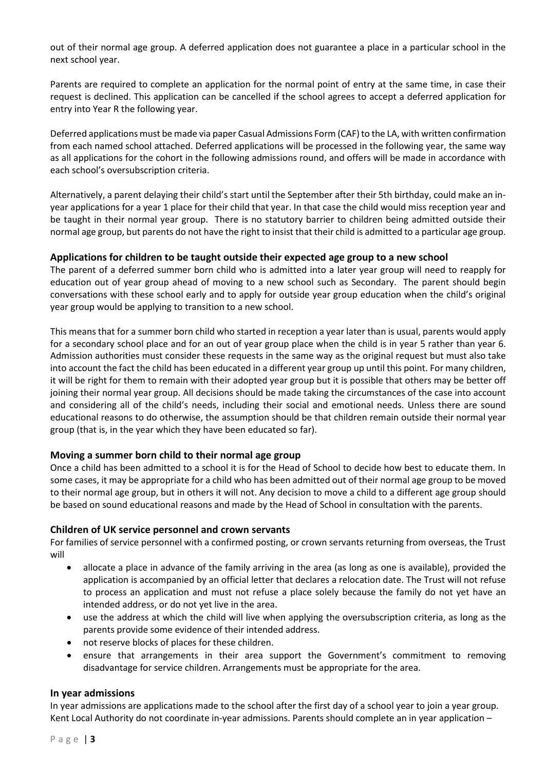out of their normal age group. A deferred application does not guarantee a place in a particular school in the next school year.

Parents are required to complete an application for the normal point of entry at the same time, in case their request is declined. This application can be cancelled if the school agrees to accept a deferred application for entry into Year R the following year.

Deferred applications must be made via paper Casual Admissions Form (CAF) to the LA, with written confirmation from each named school attached. Deferred applications will be processed in the following year, the same way as all applications for the cohort in the following admissions round, and offers will be made in accordance with each school's oversubscription criteria.

Alternatively, a parent delaying their child's start until the September after their 5th birthday, could make an inyear applications for a year 1 place for their child that year. In that case the child would miss reception year and be taught in their normal year group. There is no statutory barrier to children being admitted outside their normal age group, but parents do not have the right to insist that their child is admitted to a particular age group.

#### **Applications for children to be taught outside their expected age group to a new school**

The parent of a deferred summer born child who is admitted into a later year group will need to reapply for education out of year group ahead of moving to a new school such as Secondary. The parent should begin conversations with these school early and to apply for outside year group education when the child's original year group would be applying to transition to a new school.

This means that for a summer born child who started in reception a year later than is usual, parents would apply for a secondary school place and for an out of year group place when the child is in year 5 rather than year 6. Admission authorities must consider these requests in the same way as the original request but must also take into account the fact the child has been educated in a different year group up until this point. For many children, it will be right for them to remain with their adopted year group but it is possible that others may be better off joining their normal year group. All decisions should be made taking the circumstances of the case into account and considering all of the child's needs, including their social and emotional needs. Unless there are sound educational reasons to do otherwise, the assumption should be that children remain outside their normal year group (that is, in the year which they have been educated so far).

### **Moving a summer born child to their normal age group**

Once a child has been admitted to a school it is for the Head of School to decide how best to educate them. In some cases, it may be appropriate for a child who has been admitted out of their normal age group to be moved to their normal age group, but in others it will not. Any decision to move a child to a different age group should be based on sound educational reasons and made by the Head of School in consultation with the parents.

#### **Children of UK service personnel and crown servants**

For families of service personnel with a confirmed posting, or crown servants returning from overseas, the Trust will

- allocate a place in advance of the family arriving in the area (as long as one is available), provided the application is accompanied by an official letter that declares a relocation date. The Trust will not refuse to process an application and must not refuse a place solely because the family do not yet have an intended address, or do not yet live in the area.
- use the address at which the child will live when applying the oversubscription criteria, as long as the parents provide some evidence of their intended address.
- not reserve blocks of places for these children.
- ensure that arrangements in their area support the Government's commitment to removing disadvantage for service children. Arrangements must be appropriate for the area.

#### **In year admissions**

In year admissions are applications made to the school after the first day of a school year to join a year group. Kent Local Authority do not coordinate in-year admissions. Parents should complete an in year application –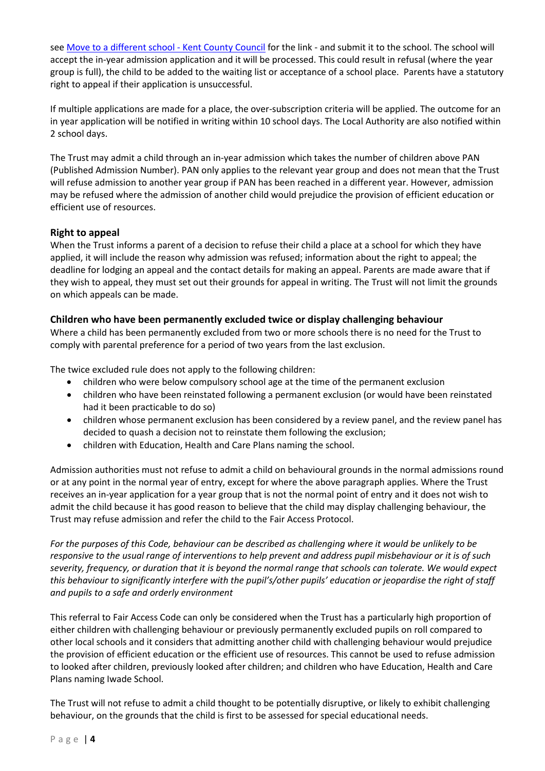se[e Move to a different school -](https://www.kent.gov.uk/education-and-children/schools/school-places/move-to-a-different-school) Kent County Council for the link - and submit it to the school. The school will accept the in-year admission application and it will be processed. This could result in refusal (where the year group is full), the child to be added to the waiting list or acceptance of a school place. Parents have a statutory right to appeal if their application is unsuccessful.

If multiple applications are made for a place, the over-subscription criteria will be applied. The outcome for an in year application will be notified in writing within 10 school days. The Local Authority are also notified within 2 school days.

The Trust may admit a child through an in-year admission which takes the number of children above PAN (Published Admission Number). PAN only applies to the relevant year group and does not mean that the Trust will refuse admission to another year group if PAN has been reached in a different year. However, admission may be refused where the admission of another child would prejudice the provision of efficient education or efficient use of resources.

### **Right to appeal**

When the Trust informs a parent of a decision to refuse their child a place at a school for which they have applied, it will include the reason why admission was refused; information about the right to appeal; the deadline for lodging an appeal and the contact details for making an appeal. Parents are made aware that if they wish to appeal, they must set out their grounds for appeal in writing. The Trust will not limit the grounds on which appeals can be made.

### **Children who have been permanently excluded twice or display challenging behaviour**

Where a child has been permanently excluded from two or more schools there is no need for the Trust to comply with parental preference for a period of two years from the last exclusion.

The twice excluded rule does not apply to the following children:

- children who were below compulsory school age at the time of the permanent exclusion
- children who have been reinstated following a permanent exclusion (or would have been reinstated had it been practicable to do so)
- children whose permanent exclusion has been considered by a review panel, and the review panel has decided to quash a decision not to reinstate them following the exclusion;
- children with Education, Health and Care Plans naming the school.

Admission authorities must not refuse to admit a child on behavioural grounds in the normal admissions round or at any point in the normal year of entry, except for where the above paragraph applies. Where the Trust receives an in-year application for a year group that is not the normal point of entry and it does not wish to admit the child because it has good reason to believe that the child may display challenging behaviour, the Trust may refuse admission and refer the child to the Fair Access Protocol.

*For the purposes of this Code, behaviour can be described as challenging where it would be unlikely to be responsive to the usual range of interventions to help prevent and address pupil misbehaviour or it is of such severity, frequency, or duration that it is beyond the normal range that schools can tolerate. We would expect this behaviour to significantly interfere with the pupil's/other pupils' education or jeopardise the right of staff and pupils to a safe and orderly environment*

This referral to Fair Access Code can only be considered when the Trust has a particularly high proportion of either children with challenging behaviour or previously permanently excluded pupils on roll compared to other local schools and it considers that admitting another child with challenging behaviour would prejudice the provision of efficient education or the efficient use of resources. This cannot be used to refuse admission to looked after children, previously looked after children; and children who have Education, Health and Care Plans naming Iwade School.

The Trust will not refuse to admit a child thought to be potentially disruptive, or likely to exhibit challenging behaviour, on the grounds that the child is first to be assessed for special educational needs.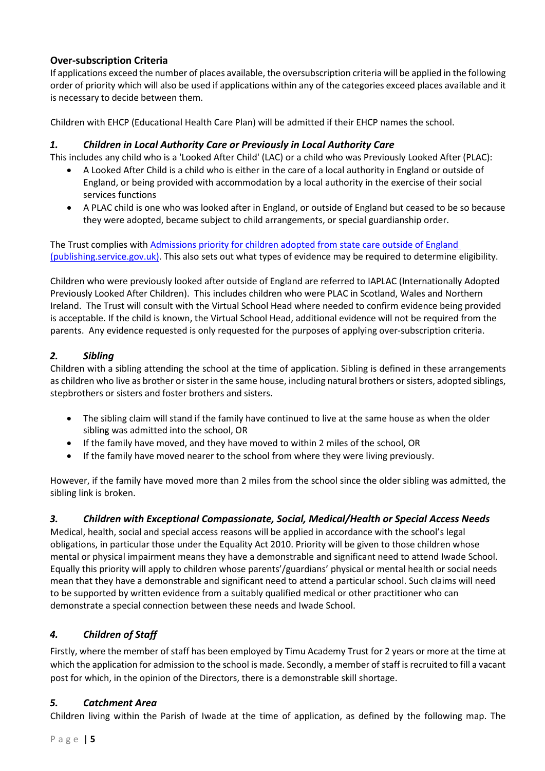# **Over-subscription Criteria**

If applications exceed the number of places available, the oversubscription criteria will be applied in the following order of priority which will also be used if applications within any of the categories exceed places available and it is necessary to decide between them.

Children with EHCP (Educational Health Care Plan) will be admitted if their EHCP names the school.

### *1. Children in Local Authority Care or Previously in Local Authority Care*

This includes any child who is a 'Looked After Child' (LAC) or a child who was Previously Looked After (PLAC):

- A Looked After Child is a child who is either in the care of a local authority in England or outside of England, or being provided with accommodation by a local authority in the exercise of their social services functions
- A PLAC child is one who was looked after in England, or outside of England but ceased to be so because they were adopted, became subject to child arrangements, or special guardianship order.

The Trust complies with Admissions priority for children adopted from state care outside of England [\(publishing.service.gov.uk\).](https://assets.publishing.service.gov.uk/government/uploads/system/uploads/attachment_data/file/1001066/Admissions_priority_for_children_adopted_from_state_care_outside_of_England.pdf) This also sets out what types of evidence may be required to determine eligibility.

Children who were previously looked after outside of England are referred to IAPLAC (Internationally Adopted Previously Looked After Children). This includes children who were PLAC in Scotland, Wales and Northern Ireland. The Trust will consult with the Virtual School Head where needed to confirm evidence being provided is acceptable. If the child is known, the Virtual School Head, additional evidence will not be required from the parents. Any evidence requested is only requested for the purposes of applying over-subscription criteria.

# *2. Sibling*

Children with a sibling attending the school at the time of application. Sibling is defined in these arrangements as children who live as brother or sister in the same house, including natural brothers or sisters, adopted siblings, stepbrothers or sisters and foster brothers and sisters.

- The sibling claim will stand if the family have continued to live at the same house as when the older sibling was admitted into the school, OR
- If the family have moved, and they have moved to within 2 miles of the school, OR
- If the family have moved nearer to the school from where they were living previously.

However, if the family have moved more than 2 miles from the school since the older sibling was admitted, the sibling link is broken.

# *3. Children with Exceptional Compassionate, Social, Medical/Health or Special Access Needs*

Medical, health, social and special access reasons will be applied in accordance with the school's legal obligations, in particular those under the Equality Act 2010. Priority will be given to those children whose mental or physical impairment means they have a demonstrable and significant need to attend Iwade School. Equally this priority will apply to children whose parents'/guardians' physical or mental health or social needs mean that they have a demonstrable and significant need to attend a particular school. Such claims will need to be supported by written evidence from a suitably qualified medical or other practitioner who can demonstrate a special connection between these needs and Iwade School.

# *4. Children of Staff*

Firstly, where the member of staff has been employed by Timu Academy Trust for 2 years or more at the time at which the application for admission to the school is made. Secondly, a member of staff is recruited to fill a vacant post for which, in the opinion of the Directors, there is a demonstrable skill shortage.

# *5. Catchment Area*

Children living within the Parish of Iwade at the time of application, as defined by the following map. The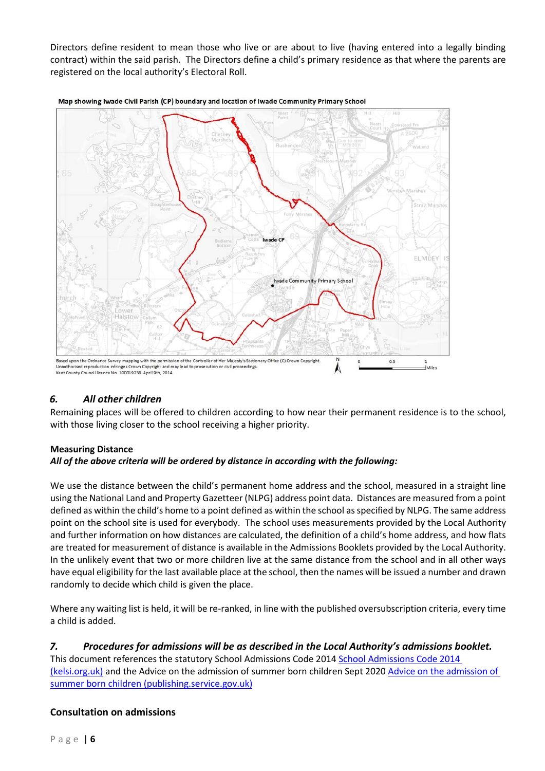Directors define resident to mean those who live or are about to live (having entered into a legally binding contract) within the said parish. The Directors define a child's primary residence as that where the parents are registered on the local authority's Electoral Roll.



Map showing Iwade Civil Parish (CP) boundary and location of Iwade Community Primary School

# *6. All other children*

Remaining places will be offered to children according to how near their permanent residence is to the school, with those living closer to the school receiving a higher priority.

#### **Measuring Distance** *All of the above criteria will be ordered by distance in according with the following:*

We use the distance between the child's permanent home address and the school, measured in a straight line using the National Land and Property Gazetteer (NLPG) address point data. Distances are measured from a point defined as within the child's home to a point defined as within the school as specified by NLPG. The same address point on the school site is used for everybody. The school uses measurements provided by the Local Authority and further information on how distances are calculated, the definition of a child's home address, and how flats are treated for measurement of distance is available in the Admissions Booklets provided by the Local Authority. In the unlikely event that two or more children live at the same distance from the school and in all other ways have equal eligibility for the last available place at the school, then the names will be issued a number and drawn randomly to decide which child is given the place.

Where any waiting list is held, it will be re-ranked, in line with the published oversubscription criteria, every time a child is added.

# *7. Procedures for admissions will be as described in the Local Authority's admissions booklet.*

This document references the statutory School Admissions Code 2014 [School Admissions Code 2014](https://www.kelsi.org.uk/__data/assets/pdf_file/0009/29673/Admissions-Code-2014.pdf)  [\(kelsi.org.uk\)](https://www.kelsi.org.uk/__data/assets/pdf_file/0009/29673/Admissions-Code-2014.pdf) and the [Advice on the admission of](https://assets.publishing.service.gov.uk/government/uploads/system/uploads/attachment_data/file/921254/Guidance_for_admissions_authorities_September_2020.pdf) summer born children Sept 2020 Advice on the admission of [summer born children \(publishing.service.gov.uk\)](https://assets.publishing.service.gov.uk/government/uploads/system/uploads/attachment_data/file/921254/Guidance_for_admissions_authorities_September_2020.pdf)

### **Consultation on admissions**